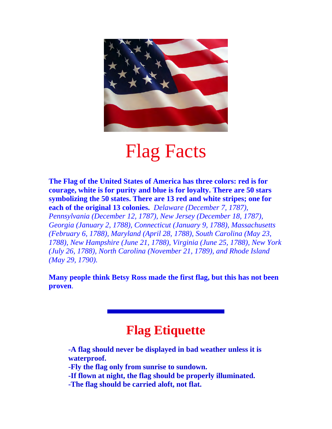

## Flag Facts

**The Flag of the United States of America has three colors: red is for courage, white is for purity and blue is for loyalty. There are 50 stars symbolizing the 50 states. There are 13 red and white stripes; one for each of the original 13 colonies.** *Delaware (December 7, 1787), Pennsylvania (December 12, 1787), New Jersey (December 18, 1787), Georgia (January 2, 1788), Connecticut (January 9, 1788), Massachusetts (February 6, 1788), Maryland (April 28, 1788), South Carolina (May 23, 1788), New Hampshire (June 21, 1788), Virginia (June 25, 1788), New York (July 26, 1788), North Carolina (November 21, 1789), and Rhode Island (May 29, 1790).*

**Many people think Betsy Ross made the first flag, but this has not been proven**.

## **Flag Etiquette**

**-A flag should never be displayed in bad weather unless it is waterproof. -Fly the flag only from sunrise to sundown. -If flown at night, the flag should be properly illuminated. -The flag should be carried aloft, not flat.**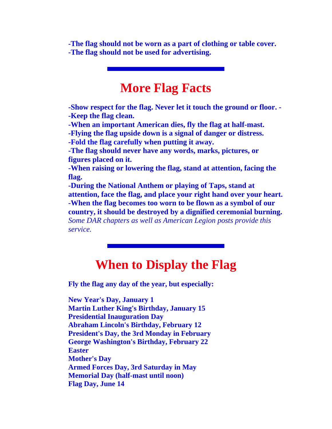**-The flag should not be worn as a part of clothing or table cover. -The flag should not be used for advertising.**

## **More Flag Facts**

**-Show respect for the flag. Never let it touch the ground or floor. - -Keep the flag clean.** 

**-When an important American dies, fly the flag at half-mast.** 

**-Flying the flag upside down is a signal of danger or distress.** 

**-[Fold the flag carefully](http://arkansas-dar.org/flagfold.html) when putting it away.** 

**-The flag should never have any words, marks, pictures, or figures placed on it.** 

**-When raising or lowering the flag, stand at attention, facing the flag.** 

**-During the National Anthem or playing of Taps, stand at attention, face the flag, and place your right hand over your heart. -When the flag becomes too worn to be flown as a symbol of our country, it should be destroyed by a dignified ceremonial burning.** *Some DAR chapters as well as American Legion posts provide this service.*

## **When to Display the Flag**

**Fly the flag any day of the year, but especially:** 

**New Year's Day, January 1 Martin Luther King's Birthday, January 15 Presidential Inauguration Day Abraham Lincoln's Birthday, February 12 President's Day, the 3rd Monday in February George Washington's Birthday, February 22 Easter Mother's Day Armed Forces Day, 3rd Saturday in May Memorial Day (half-mast until noon) Flag Day, June 14**